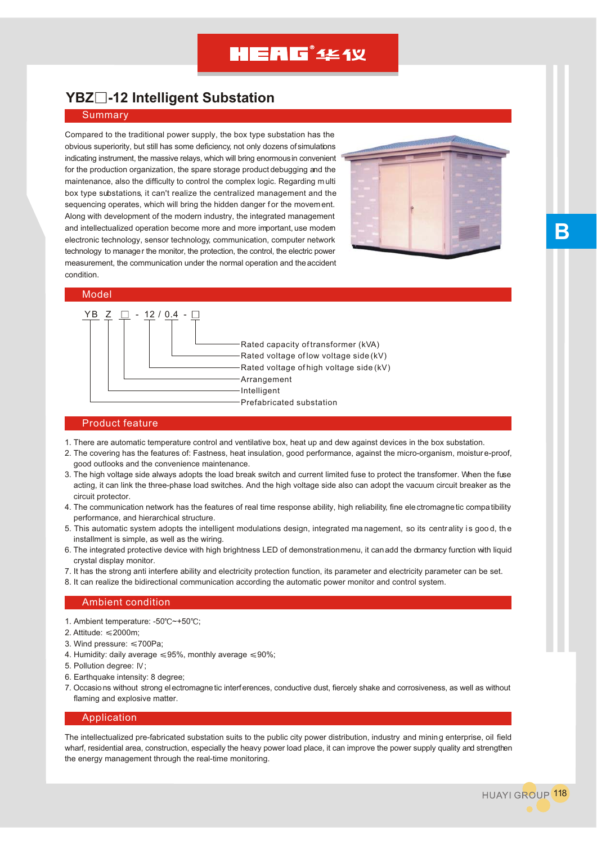## **HEAG**<sup>\*</sup> 444 Y

### **YBZ -12 Intelligent Substation**

#### Summary

Compared to the traditional power supply, the box type substation has the obvious superiority, but still has some deficiency, not only dozens of simulations indicating instrument, the massive relays, which will bring enormous in convenient for the production organization, the spare storage product debugging and the maintenance, also the difficulty to control the complex logic. Regarding multi box type substations, it can't realize the centralized management and the sequencing operates, which will bring the hidden danger for the movement. Along with development of the modern industry, the integrated management and intellectualized operation become more and more important, use modern electronic technology, sensor technology, communication, computer network technology to manager the monitor, the protection, the control, the electric power measurement, the communication under the normal operation and the accident condition.



#### Model



#### Product feature

- 1. There are automatic temperature control and ventilative box, heat up and dew against devices in the box substation.
- 2. The covering has the features of: Fastness, heat insulation, good performance, against the micro-organism, moisture-proof, good outlooks and the convenience maintenance.
- 3. The high voltage side always adopts the load break switch and current limited fuse to protect the transformer. When the fuse acting, it can link the three-phase load switches. And the high voltage side also can adopt the vacuum circuit breaker as the circuit protector.
- 4. The communication network has the features of real time response ability, high reliability, fine electromagnetic compatibility performance, and hierarchical structure.
- 5. This automatic system adopts the intelligent modulations design, integrated management, so its centrality i s goo d, the installment is simple, as well as the wiring.
- 6. The integrated protective device with high brightness LED of demonstration menu, it can add the dormancy function with liquid crystal display monitor.
- 7. It has the strong anti interfere ability and electricity protection function, its parameter and electricity parameter can be set.
- 8. It can realize the bidirectional communication according the automatic power monitor and control system.

#### Ambient condition

- 1. Ambient temperature: -50°C~+50°C;
- 2. Attitude: ≤2000m:
- 3. Wind pressure:  $\leq 700$ Pa:
- 4. Humidity: daily average  $\leq 95\%$ , monthly average  $\leq 90\%$ ;
- 5. Pollution degree: IV;
- 6. Earthquake intensity: 8 degree;
- 7. Occasions without strong electromagnetic interferences, conductive dust, fiercely shake and corrosiveness, as well as without flaming and explosive matter.

#### Application

The intellectualized pre-fabricated substation suits to the public city power distribution, industry and mining enterprise, oil field wharf, residential area, construction, especially the heavy power load place, it can improve the power supply quality and strengthen the energy management through the real-time monitoring.